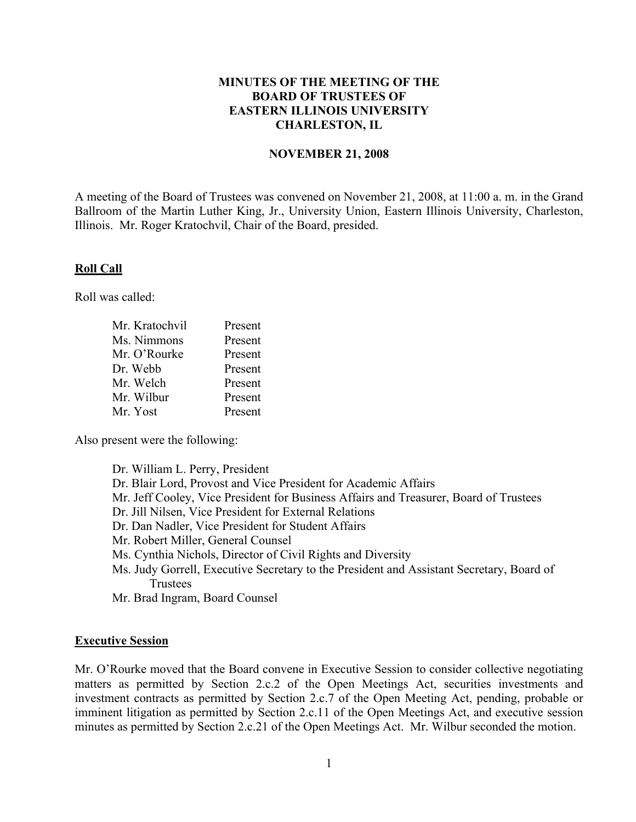# **MINUTES OF THE MEETING OF THE BOARD OF TRUSTEES OF EASTERN ILLINOIS UNIVERSITY CHARLESTON, IL**

#### **NOVEMBER 21, 2008**

A meeting of the Board of Trustees was convened on November 21, 2008, at 11:00 a. m. in the Grand Ballroom of the Martin Luther King, Jr., University Union, Eastern Illinois University, Charleston, Illinois. Mr. Roger Kratochvil, Chair of the Board, presided.

#### **Roll Call**

Roll was called:

| Mr. Kratochvil | Present |
|----------------|---------|
| Ms. Nimmons    | Present |
| Mr. O'Rourke   | Present |
| Dr. Webb       | Present |
| Mr. Welch      | Present |
| Mr. Wilbur     | Present |
| Mr. Yost       | Present |

Also present were the following:

| Dr. William L. Perry, President                                                          |
|------------------------------------------------------------------------------------------|
| Dr. Blair Lord, Provost and Vice President for Academic Affairs                          |
| Mr. Jeff Cooley, Vice President for Business Affairs and Treasurer, Board of Trustees    |
| Dr. Jill Nilsen, Vice President for External Relations                                   |
| Dr. Dan Nadler, Vice President for Student Affairs                                       |
| Mr. Robert Miller, General Counsel                                                       |
| Ms. Cynthia Nichols, Director of Civil Rights and Diversity                              |
| Ms. Judy Gorrell, Executive Secretary to the President and Assistant Secretary, Board of |
| Trustees                                                                                 |
|                                                                                          |

Mr. Brad Ingram, Board Counsel

#### **Executive Session**

Mr. O'Rourke moved that the Board convene in Executive Session to consider collective negotiating matters as permitted by Section 2.c.2 of the Open Meetings Act, securities investments and investment contracts as permitted by Section 2.c.7 of the Open Meeting Act, pending, probable or imminent litigation as permitted by Section 2.c.11 of the Open Meetings Act, and executive session minutes as permitted by Section 2.c.21 of the Open Meetings Act. Mr. Wilbur seconded the motion.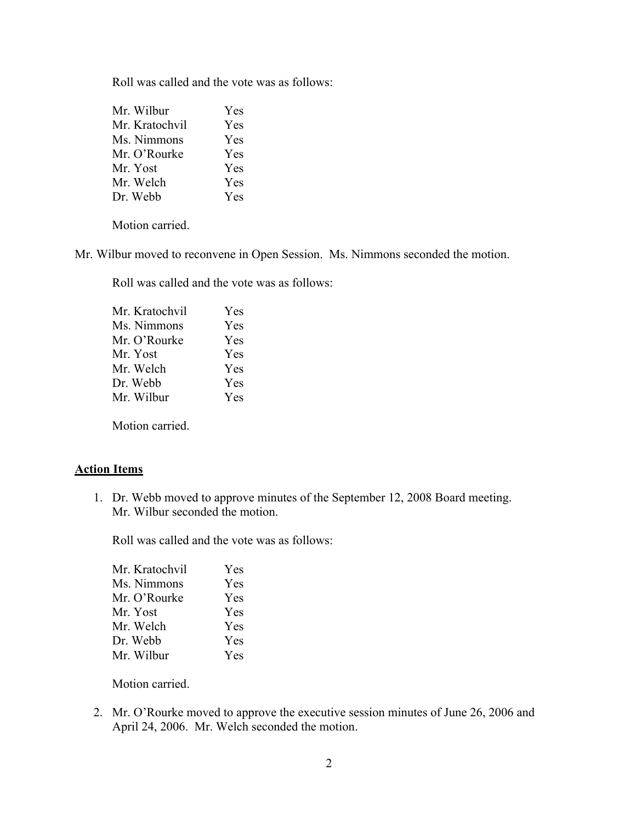Roll was called and the vote was as follows:

| Mr. Wilbur     | Yes        |
|----------------|------------|
| Mr. Kratochvil | <b>Yes</b> |
| Ms. Nimmons    | Yes        |
| Mr. O'Rourke   | <b>Yes</b> |
| Mr. Yost       | <b>Yes</b> |
| Mr. Welch      | Yes        |
| Dr. Webb       | Yes        |

Motion carried.

Mr. Wilbur moved to reconvene in Open Session. Ms. Nimmons seconded the motion.

Roll was called and the vote was as follows:

| Mr. Kratochvil | Yes |
|----------------|-----|
| Ms. Nimmons    | Yes |
| Mr. O'Rourke   | Yes |
| Mr. Yost       | Yes |
| Mr. Welch      | Yes |
| Dr. Webb       | Yes |
| Mr. Wilbur     | Yes |
|                |     |

Motion carried.

# **Action Items**

1. Dr. Webb moved to approve minutes of the September 12, 2008 Board meeting. Mr. Wilbur seconded the motion.

Roll was called and the vote was as follows:

| Mr. Kratochvil | Yes |
|----------------|-----|
| Ms. Nimmons    | Yes |
| Mr. O'Rourke   | Yes |
| Mr. Yost       | Yes |
| Mr. Welch      | Yes |
| Dr. Webb       | Yes |
| Mr. Wilbur     | Yes |

Motion carried.

2. Mr. O'Rourke moved to approve the executive session minutes of June 26, 2006 and April 24, 2006. Mr. Welch seconded the motion.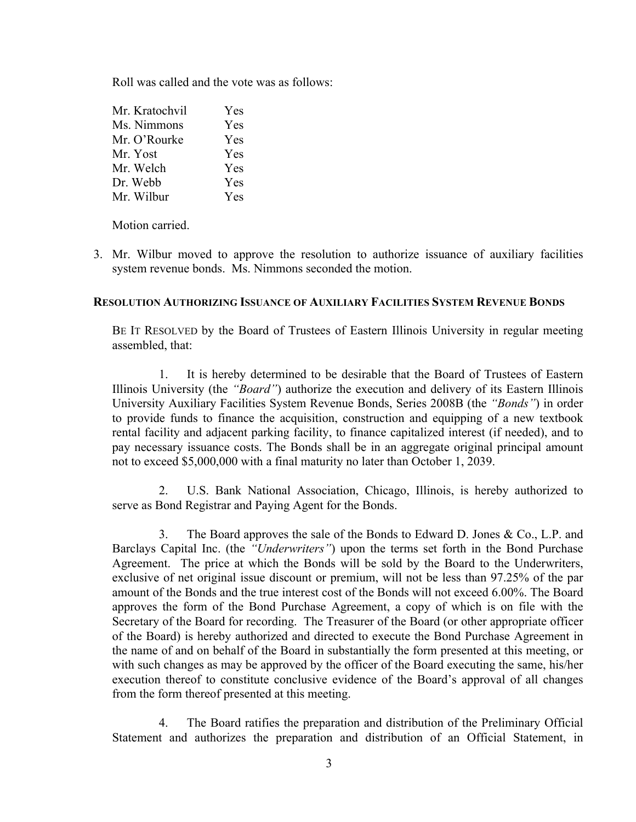Roll was called and the vote was as follows:

| Mr. Kratochvil | Yes |
|----------------|-----|
| Ms. Nimmons    | Yes |
| Mr. O'Rourke   | Yes |
| Mr. Yost       | Yes |
| Mr. Welch      | Yes |
| Dr. Webb       | Yes |
| Mr. Wilbur     | Yes |

Motion carried.

3. Mr. Wilbur moved to approve the resolution to authorize issuance of auxiliary facilities system revenue bonds. Ms. Nimmons seconded the motion.

### **RESOLUTION AUTHORIZING ISSUANCE OF AUXILIARY FACILITIES SYSTEM REVENUE BONDS**

BE IT RESOLVED by the Board of Trustees of Eastern Illinois University in regular meeting assembled, that:

1. It is hereby determined to be desirable that the Board of Trustees of Eastern Illinois University (the *"Board"*) authorize the execution and delivery of its Eastern Illinois University Auxiliary Facilities System Revenue Bonds, Series 2008B (the *"Bonds"*) in order to provide funds to finance the acquisition, construction and equipping of a new textbook rental facility and adjacent parking facility, to finance capitalized interest (if needed), and to pay necessary issuance costs. The Bonds shall be in an aggregate original principal amount not to exceed \$5,000,000 with a final maturity no later than October 1, 2039.

2. U.S. Bank National Association, Chicago, Illinois, is hereby authorized to serve as Bond Registrar and Paying Agent for the Bonds.

3. The Board approves the sale of the Bonds to Edward D. Jones & Co., L.P. and Barclays Capital Inc. (the *"Underwriters"*) upon the terms set forth in the Bond Purchase Agreement. The price at which the Bonds will be sold by the Board to the Underwriters, exclusive of net original issue discount or premium, will not be less than 97.25% of the par amount of the Bonds and the true interest cost of the Bonds will not exceed 6.00%. The Board approves the form of the Bond Purchase Agreement, a copy of which is on file with the Secretary of the Board for recording. The Treasurer of the Board (or other appropriate officer of the Board) is hereby authorized and directed to execute the Bond Purchase Agreement in the name of and on behalf of the Board in substantially the form presented at this meeting, or with such changes as may be approved by the officer of the Board executing the same, his/her execution thereof to constitute conclusive evidence of the Board's approval of all changes from the form thereof presented at this meeting.

4. The Board ratifies the preparation and distribution of the Preliminary Official Statement and authorizes the preparation and distribution of an Official Statement, in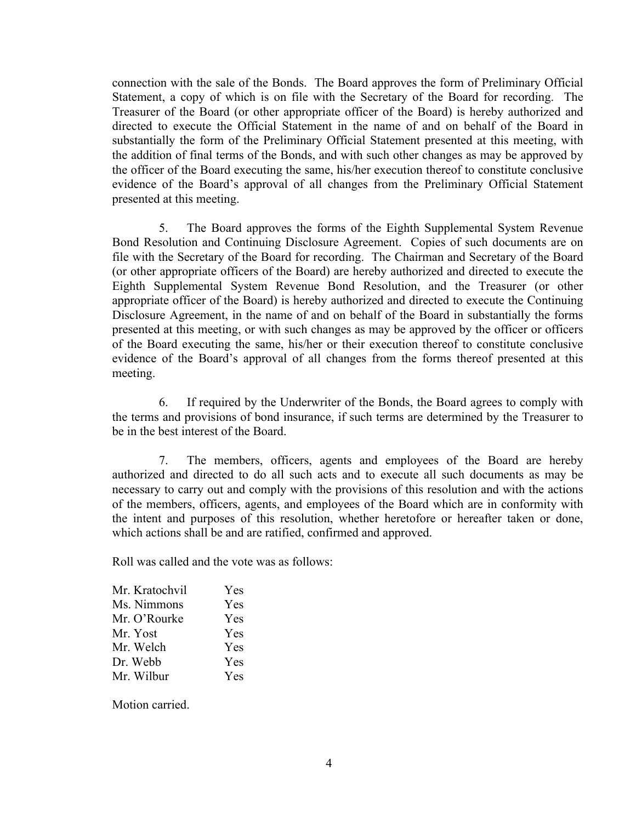connection with the sale of the Bonds. The Board approves the form of Preliminary Official Statement, a copy of which is on file with the Secretary of the Board for recording. The Treasurer of the Board (or other appropriate officer of the Board) is hereby authorized and directed to execute the Official Statement in the name of and on behalf of the Board in substantially the form of the Preliminary Official Statement presented at this meeting, with the addition of final terms of the Bonds, and with such other changes as may be approved by the officer of the Board executing the same, his/her execution thereof to constitute conclusive evidence of the Board's approval of all changes from the Preliminary Official Statement presented at this meeting.

5. The Board approves the forms of the Eighth Supplemental System Revenue Bond Resolution and Continuing Disclosure Agreement. Copies of such documents are on file with the Secretary of the Board for recording. The Chairman and Secretary of the Board (or other appropriate officers of the Board) are hereby authorized and directed to execute the Eighth Supplemental System Revenue Bond Resolution, and the Treasurer (or other appropriate officer of the Board) is hereby authorized and directed to execute the Continuing Disclosure Agreement, in the name of and on behalf of the Board in substantially the forms presented at this meeting, or with such changes as may be approved by the officer or officers of the Board executing the same, his/her or their execution thereof to constitute conclusive evidence of the Board's approval of all changes from the forms thereof presented at this meeting.

6. If required by the Underwriter of the Bonds, the Board agrees to comply with the terms and provisions of bond insurance, if such terms are determined by the Treasurer to be in the best interest of the Board.

7. The members, officers, agents and employees of the Board are hereby authorized and directed to do all such acts and to execute all such documents as may be necessary to carry out and comply with the provisions of this resolution and with the actions of the members, officers, agents, and employees of the Board which are in conformity with the intent and purposes of this resolution, whether heretofore or hereafter taken or done, which actions shall be and are ratified, confirmed and approved.

Roll was called and the vote was as follows:

| Mr. Kratochvil | Yes        |
|----------------|------------|
| Ms. Nimmons    | Yes        |
| Mr. O'Rourke   | <b>Yes</b> |
| Mr. Yost       | <b>Yes</b> |
| Mr. Welch      | <b>Yes</b> |
| Dr. Webb       | Yes        |
| Mr. Wilbur     | <b>Yes</b> |

Motion carried.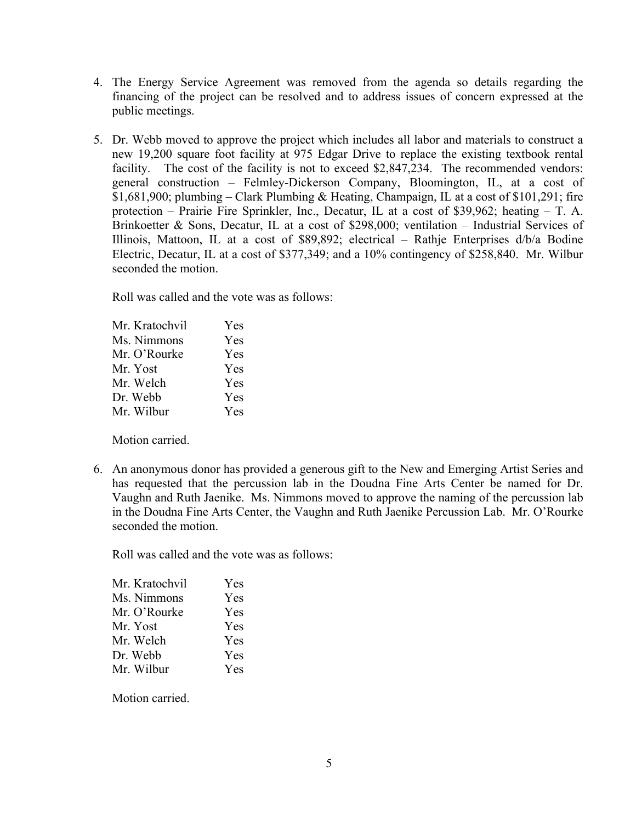- 4. The Energy Service Agreement was removed from the agenda so details regarding the financing of the project can be resolved and to address issues of concern expressed at the public meetings.
- 5. Dr. Webb moved to approve the project which includes all labor and materials to construct a new 19,200 square foot facility at 975 Edgar Drive to replace the existing textbook rental facility. The cost of the facility is not to exceed \$2,847,234. The recommended vendors: general construction – Felmley-Dickerson Company, Bloomington, IL, at a cost of \$1,681,900; plumbing – Clark Plumbing & Heating, Champaign, IL at a cost of \$101,291; fire protection – Prairie Fire Sprinkler, Inc., Decatur, IL at a cost of \$39,962; heating – T. A. Brinkoetter & Sons, Decatur, IL at a cost of \$298,000; ventilation – Industrial Services of Illinois, Mattoon, IL at a cost of \$89,892; electrical – Rathje Enterprises d/b/a Bodine Electric, Decatur, IL at a cost of \$377,349; and a 10% contingency of \$258,840. Mr. Wilbur seconded the motion.

Roll was called and the vote was as follows:

| Mr. Kratochvil | Yes        |
|----------------|------------|
| Ms. Nimmons    | Yes        |
| Mr. O'Rourke   | <b>Yes</b> |
| Mr. Yost       | Yes        |
| Mr. Welch      | Yes        |
| Dr. Webb       | Yes        |
| Mr. Wilbur     | Yes        |

Motion carried.

6. An anonymous donor has provided a generous gift to the New and Emerging Artist Series and has requested that the percussion lab in the Doudna Fine Arts Center be named for Dr. Vaughn and Ruth Jaenike. Ms. Nimmons moved to approve the naming of the percussion lab in the Doudna Fine Arts Center, the Vaughn and Ruth Jaenike Percussion Lab. Mr. O'Rourke seconded the motion.

Roll was called and the vote was as follows:

| Mr. Kratochvil | Yes        |
|----------------|------------|
| Ms. Nimmons    | <b>Yes</b> |
| Mr. O'Rourke   | Yes        |
| Mr. Yost       | Yes        |
| Mr. Welch      | Yes        |
| Dr. Webb       | Yes        |
| Mr. Wilbur     | Yes        |

Motion carried.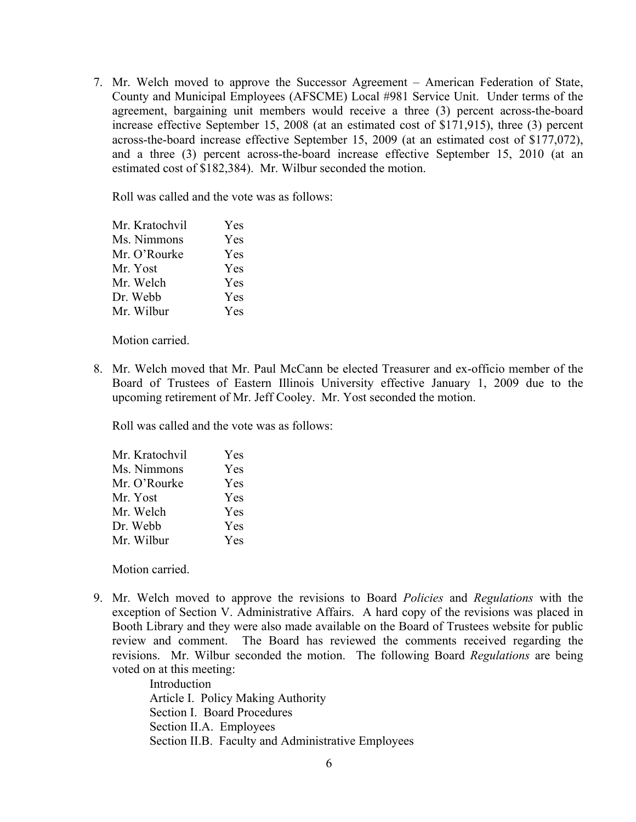7. Mr. Welch moved to approve the Successor Agreement – American Federation of State, County and Municipal Employees (AFSCME) Local #981 Service Unit. Under terms of the agreement, bargaining unit members would receive a three (3) percent across-the-board increase effective September 15, 2008 (at an estimated cost of \$171,915), three (3) percent across-the-board increase effective September 15, 2009 (at an estimated cost of \$177,072), and a three (3) percent across-the-board increase effective September 15, 2010 (at an estimated cost of \$182,384). Mr. Wilbur seconded the motion.

Roll was called and the vote was as follows:

| Mr. Kratochvil | Yes        |
|----------------|------------|
| Ms. Nimmons    | Yes        |
| Mr. O'Rourke   | <b>Yes</b> |
| Mr. Yost       | <b>Yes</b> |
| Mr. Welch      | <b>Yes</b> |
| Dr. Webb       | Yes        |
| Mr. Wilbur     | Yes        |

Motion carried.

8. Mr. Welch moved that Mr. Paul McCann be elected Treasurer and ex-officio member of the Board of Trustees of Eastern Illinois University effective January 1, 2009 due to the upcoming retirement of Mr. Jeff Cooley. Mr. Yost seconded the motion.

Roll was called and the vote was as follows:

| Mr. Kratochvil | <b>Yes</b> |
|----------------|------------|
| Ms. Nimmons    | Yes        |
| Mr. O'Rourke   | Yes        |
| Mr. Yost       | Yes        |
| Mr. Welch      | Yes        |
| Dr. Webb       | Yes        |
| Mr. Wilbur     | Yes        |
|                |            |

Motion carried.

9. Mr. Welch moved to approve the revisions to Board *Policies* and *Regulations* with the exception of Section V. Administrative Affairs. A hard copy of the revisions was placed in Booth Library and they were also made available on the Board of Trustees website for public review and comment. The Board has reviewed the comments received regarding the revisions. Mr. Wilbur seconded the motion. The following Board *Regulations* are being voted on at this meeting:

> Introduction Article I. Policy Making Authority Section I. Board Procedures Section II.A. Employees Section II.B. Faculty and Administrative Employees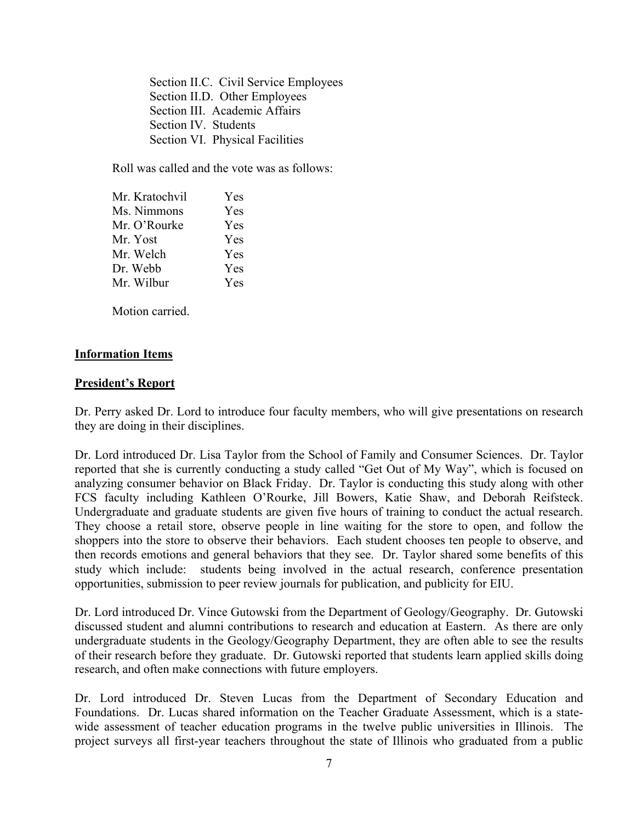Section II.C. Civil Service Employees Section II.D. Other Employees Section III. Academic Affairs Section IV. Students Section VI. Physical Facilities

Roll was called and the vote was as follows:

| Mr. Kratochvil | Yes |
|----------------|-----|
| Ms. Nimmons    | Yes |
| Mr. O'Rourke   | Yes |
| Mr. Yost       | Yes |
| Mr. Welch      | Yes |
| Dr. Webb       | Yes |
| Mr. Wilbur     | Yes |

Motion carried.

## **Information Items**

### **President's Report**

Dr. Perry asked Dr. Lord to introduce four faculty members, who will give presentations on research they are doing in their disciplines.

Dr. Lord introduced Dr. Lisa Taylor from the School of Family and Consumer Sciences. Dr. Taylor reported that she is currently conducting a study called "Get Out of My Way", which is focused on analyzing consumer behavior on Black Friday. Dr. Taylor is conducting this study along with other FCS faculty including Kathleen O'Rourke, Jill Bowers, Katie Shaw, and Deborah Reifsteck. Undergraduate and graduate students are given five hours of training to conduct the actual research. They choose a retail store, observe people in line waiting for the store to open, and follow the shoppers into the store to observe their behaviors. Each student chooses ten people to observe, and then records emotions and general behaviors that they see. Dr. Taylor shared some benefits of this study which include: students being involved in the actual research, conference presentation opportunities, submission to peer review journals for publication, and publicity for EIU.

Dr. Lord introduced Dr. Vince Gutowski from the Department of Geology/Geography. Dr. Gutowski discussed student and alumni contributions to research and education at Eastern. As there are only undergraduate students in the Geology/Geography Department, they are often able to see the results of their research before they graduate. Dr. Gutowski reported that students learn applied skills doing research, and often make connections with future employers.

Dr. Lord introduced Dr. Steven Lucas from the Department of Secondary Education and Foundations. Dr. Lucas shared information on the Teacher Graduate Assessment, which is a statewide assessment of teacher education programs in the twelve public universities in Illinois. The project surveys all first-year teachers throughout the state of Illinois who graduated from a public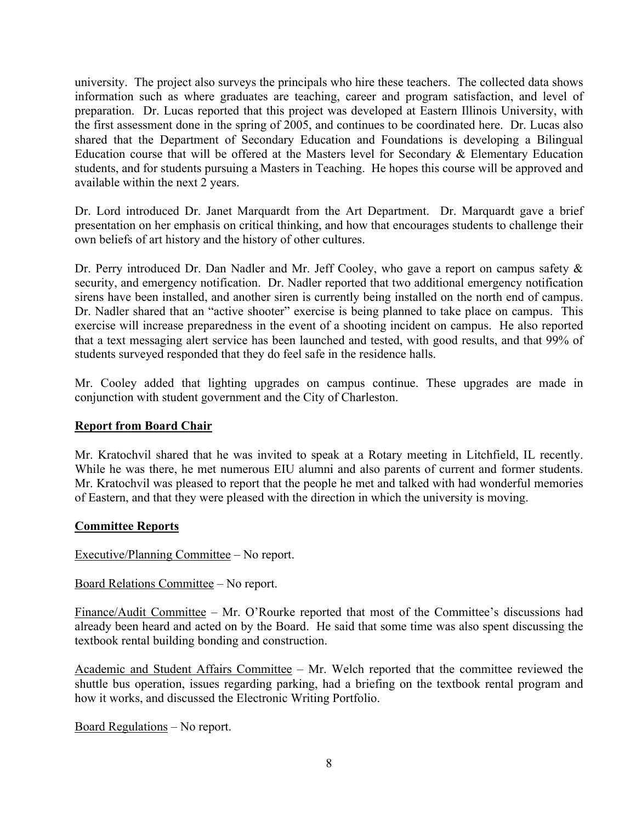university. The project also surveys the principals who hire these teachers. The collected data shows information such as where graduates are teaching, career and program satisfaction, and level of preparation. Dr. Lucas reported that this project was developed at Eastern Illinois University, with the first assessment done in the spring of 2005, and continues to be coordinated here. Dr. Lucas also shared that the Department of Secondary Education and Foundations is developing a Bilingual Education course that will be offered at the Masters level for Secondary & Elementary Education students, and for students pursuing a Masters in Teaching. He hopes this course will be approved and available within the next 2 years.

Dr. Lord introduced Dr. Janet Marquardt from the Art Department. Dr. Marquardt gave a brief presentation on her emphasis on critical thinking, and how that encourages students to challenge their own beliefs of art history and the history of other cultures.

Dr. Perry introduced Dr. Dan Nadler and Mr. Jeff Cooley, who gave a report on campus safety & security, and emergency notification. Dr. Nadler reported that two additional emergency notification sirens have been installed, and another siren is currently being installed on the north end of campus. Dr. Nadler shared that an "active shooter" exercise is being planned to take place on campus. This exercise will increase preparedness in the event of a shooting incident on campus. He also reported that a text messaging alert service has been launched and tested, with good results, and that 99% of students surveyed responded that they do feel safe in the residence halls.

Mr. Cooley added that lighting upgrades on campus continue. These upgrades are made in conjunction with student government and the City of Charleston.

# **Report from Board Chair**

Mr. Kratochvil shared that he was invited to speak at a Rotary meeting in Litchfield, IL recently. While he was there, he met numerous EIU alumni and also parents of current and former students. Mr. Kratochvil was pleased to report that the people he met and talked with had wonderful memories of Eastern, and that they were pleased with the direction in which the university is moving.

## **Committee Reports**

Executive/Planning Committee – No report.

Board Relations Committee – No report.

Finance/Audit Committee – Mr. O'Rourke reported that most of the Committee's discussions had already been heard and acted on by the Board. He said that some time was also spent discussing the textbook rental building bonding and construction.

Academic and Student Affairs Committee – Mr. Welch reported that the committee reviewed the shuttle bus operation, issues regarding parking, had a briefing on the textbook rental program and how it works, and discussed the Electronic Writing Portfolio.

Board Regulations – No report.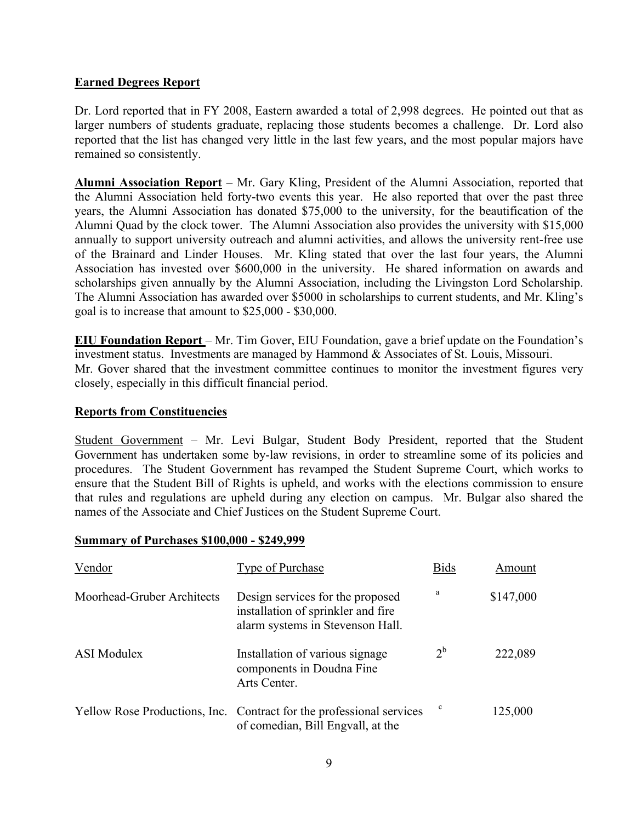# **Earned Degrees Report**

Dr. Lord reported that in FY 2008, Eastern awarded a total of 2,998 degrees. He pointed out that as larger numbers of students graduate, replacing those students becomes a challenge. Dr. Lord also reported that the list has changed very little in the last few years, and the most popular majors have remained so consistently.

**Alumni Association Report** – Mr. Gary Kling, President of the Alumni Association, reported that the Alumni Association held forty-two events this year. He also reported that over the past three years, the Alumni Association has donated \$75,000 to the university, for the beautification of the Alumni Quad by the clock tower. The Alumni Association also provides the university with \$15,000 annually to support university outreach and alumni activities, and allows the university rent-free use of the Brainard and Linder Houses. Mr. Kling stated that over the last four years, the Alumni Association has invested over \$600,000 in the university. He shared information on awards and scholarships given annually by the Alumni Association, including the Livingston Lord Scholarship. The Alumni Association has awarded over \$5000 in scholarships to current students, and Mr. Kling's goal is to increase that amount to \$25,000 - \$30,000.

**EIU Foundation Report** – Mr. Tim Gover, EIU Foundation, gave a brief update on the Foundation's investment status. Investments are managed by Hammond & Associates of St. Louis, Missouri. Mr. Gover shared that the investment committee continues to monitor the investment figures very closely, especially in this difficult financial period.

## **Reports from Constituencies**

Student Government – Mr. Levi Bulgar, Student Body President, reported that the Student Government has undertaken some by-law revisions, in order to streamline some of its policies and procedures. The Student Government has revamped the Student Supreme Court, which works to ensure that the Student Bill of Rights is upheld, and works with the elections commission to ensure that rules and regulations are upheld during any election on campus. Mr. Bulgar also shared the names of the Associate and Chief Justices on the Student Supreme Court.

#### **Summary of Purchases \$100,000 - \$249,999**

| Vendor                     | Type of Purchase                                                                                           | <b>Bids</b> | Amount    |
|----------------------------|------------------------------------------------------------------------------------------------------------|-------------|-----------|
| Moorhead-Gruber Architects | Design services for the proposed<br>installation of sprinkler and fire<br>alarm systems in Stevenson Hall. | a           | \$147,000 |
| <b>ASI</b> Modulex         | Installation of various signage<br>components in Doudna Fine<br>Arts Center.                               | $2^{\rm b}$ | 222,089   |
|                            | Yellow Rose Productions, Inc. Contract for the professional services<br>of comedian, Bill Engvall, at the  | c           | 125,000   |